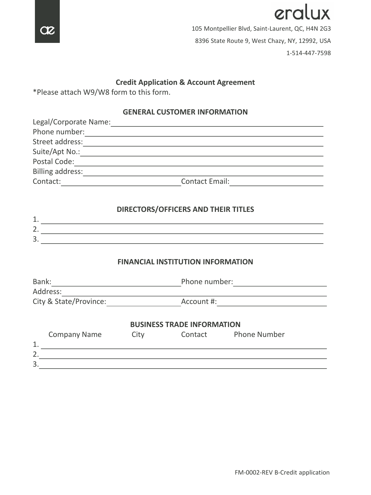

eralux 105 Montpellier Blvd, Saint-Laurent, QC, H4N 2G3 8396 State Route 9, West Chazy, NY, 12992, USA 1-514-447-7598

## **Credit Application & Account Agreement**

\*Please attach W9/W8 form to this form.

### **GENERAL CUSTOMER INFORMATION**

| Legal/Corporate Name: |                       |  |
|-----------------------|-----------------------|--|
| Phone number:         |                       |  |
| Street address:       |                       |  |
| Suite/Apt No.:        |                       |  |
| Postal Code:          |                       |  |
| Billing address:      |                       |  |
| Contact:              | <b>Contact Email:</b> |  |

## **DIRECTORS/OFFICERS AND THEIR TITLES**

### **FINANCIAL INSTITUTION INFORMATION**

| Bank:<br>Address:         |      | Phone number:                     |                     |  |
|---------------------------|------|-----------------------------------|---------------------|--|
| City & State/Province:    |      | Account #:                        |                     |  |
|                           |      | <b>BUSINESS TRADE INFORMATION</b> |                     |  |
| <b>Company Name</b><br>1. | City | Contact                           | <b>Phone Number</b> |  |
| 2.                        |      |                                   |                     |  |
| 3.                        |      |                                   |                     |  |